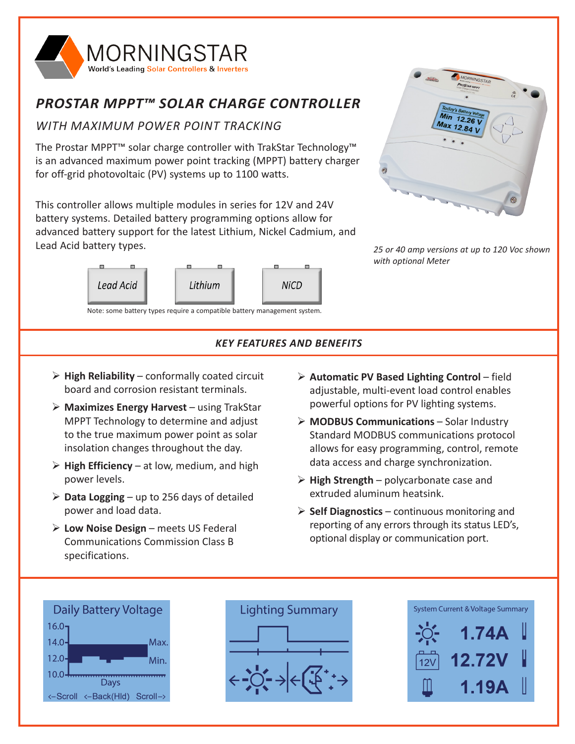

# *PROSTAR MPPT™ SOLAR CHARGE CONTROLLER*

## *WITH MAXIMUM POWER POINT TRACKING*

The Prostar MPPT™ solar charge controller with TrakStar Technology™ is an advanced maximum power point tracking (MPPT) battery charger for off-grid photovoltaic (PV) systems up to 1100 watts.

This controller allows multiple modules in series for 12V and 24V battery systems. Detailed battery programming options allow for advanced battery support for the latest Lithium, Nickel Cadmium, and Lead Acid battery types.



Note: some battery types require a compatible battery management system.



*25 or 40 amp versions at up to 120 Voc shown with optional Meter*

### *KEY FEATURES AND BENEFITS*

- $\triangleright$  **High Reliability** conformally coated circuit board and corrosion resistant terminals.
- ¾ **Maximizes Energy Harvest** using TrakStar MPPT Technology to determine and adjust to the true maximum power point as solar insolation changes throughout the day.
- $\triangleright$  **High Efficiency** at low, medium, and high power levels.
- $\triangleright$  **Data Logging** up to 256 days of detailed power and load data.
- ¾ **Low Noise Design** meets US Federal Communications Commission Class B specifications.
- ¾ **Automatic PV Based Lighting Control** field adjustable, multi-event load control enables powerful options for PV lighting systems.
- ¾ **MODBUS Communications** Solar Industry Standard MODBUS communications protocol allows for easy programming, control, remote data access and charge synchronization.
- ¾ **High Strength**  polycarbonate case and extruded aluminum heatsink.
- ¾ **Self Diagnostics** continuous monitoring and reporting of any errors through its status LED's, optional display or communication port.